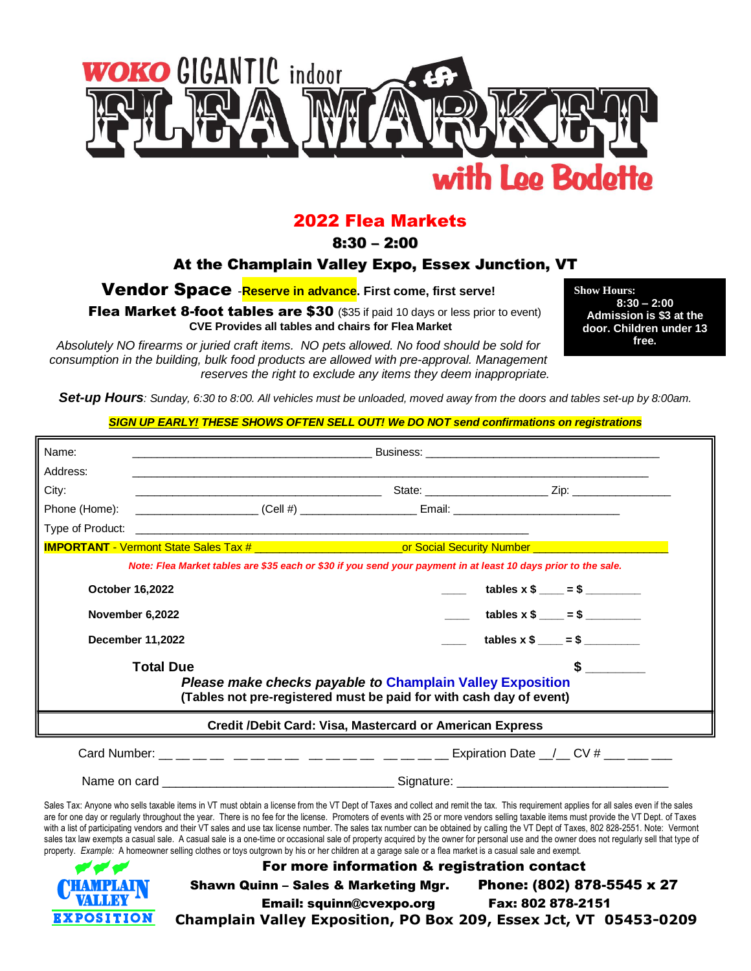

# 2022 Flea Markets

8:30 – 2:00

## At the Champlain Valley Expo, Essex Junction, VT

Vendor Space -**Reserve in advance. First come, first serve!**

Flea Market 8-foot tables are \$30 (\$35 if paid 10 days or less prior to event) **CVE Provides all tables and chairs for Flea Market**

**Show Hours: 8:30 – 2:00 Admission is \$3 at the door. Children under 13 free.**

*Absolutely NO firearms or juried craft items. NO pets allowed. No food should be sold for consumption in the building, bulk food products are allowed with pre-approval. Management reserves the right to exclude any items they deem inappropriate.*

*Set-up Hours: Sunday, 6:30 to 8:00. All vehicles must be unloaded, moved away from the doors and tables set-up by 8:00am.*

#### *SIGN UP EARLY! THESE SHOWS OFTEN SELL OUT! We DO NOT send confirmations on registrations*

| Address:<br>City:<br>Phone (Home): _______________________(Cell #) _________________________Email: ________________________________<br>Type of Product:<br><u> 1989 - Johann John Harry, menydd y brenin ymgyraeth y gw</u><br>IMPORTANT - Vermont State Sales Tax # _____________________________or Social Security Number _________________<br>Note: Flea Market tables are \$35 each or \$30 if you send your payment in at least 10 days prior to the sale.<br>$\frac{1}{1}$ tables x \$ ____ = \$ ________<br>October 16,2022<br>$\frac{1}{2}$ tables x \$ ___ = \$ ________<br>November 6,2022<br>tables $x$ \$ ____ = \$ ________<br><b>December 11,2022</b><br><b>Total Due</b><br>Please make checks payable to Champlain Valley Exposition<br>(Tables not pre-registered must be paid for with cash day of event)<br>Credit /Debit Card: Visa, Mastercard or American Express<br>Sales Tax: Anyone who sells taxable items in VT must obtain a license from the VT Dept of Taxes and collect and remit the tax. This requirement applies for all sales even if the sales<br>are for one day or regularly throughout the year. There is no fee for the license. Promoters of events with 25 or more vendors selling taxable items must provide the VT Dept. of Taxes<br>with a list of participating vendors and their VT sales and use tax license number. The sales tax number can be obtained by calling the VT Dept of Taxes, 802 828-2551. Note: Vermont<br>sales tax law exempts a casual sale. A casual sale is a one-time or occasional sale of property acquired by the owner for personal use and the owner does not regularly sell that type of<br>property. Example: A homeowner selling clothes or toys outgrown by his or her children at a garage sale or a flea market is a casual sale and exempt.<br>For more information & registration contact |       |  |  |  |  |
|-----------------------------------------------------------------------------------------------------------------------------------------------------------------------------------------------------------------------------------------------------------------------------------------------------------------------------------------------------------------------------------------------------------------------------------------------------------------------------------------------------------------------------------------------------------------------------------------------------------------------------------------------------------------------------------------------------------------------------------------------------------------------------------------------------------------------------------------------------------------------------------------------------------------------------------------------------------------------------------------------------------------------------------------------------------------------------------------------------------------------------------------------------------------------------------------------------------------------------------------------------------------------------------------------------------------------------------------------------------------------------------------------------------------------------------------------------------------------------------------------------------------------------------------------------------------------------------------------------------------------------------------------------------------------------------------------------------------------------------------------------------------------------------------------------------------------------------------------------------------------------|-------|--|--|--|--|
|                                                                                                                                                                                                                                                                                                                                                                                                                                                                                                                                                                                                                                                                                                                                                                                                                                                                                                                                                                                                                                                                                                                                                                                                                                                                                                                                                                                                                                                                                                                                                                                                                                                                                                                                                                                                                                                                             | Name: |  |  |  |  |
|                                                                                                                                                                                                                                                                                                                                                                                                                                                                                                                                                                                                                                                                                                                                                                                                                                                                                                                                                                                                                                                                                                                                                                                                                                                                                                                                                                                                                                                                                                                                                                                                                                                                                                                                                                                                                                                                             |       |  |  |  |  |
|                                                                                                                                                                                                                                                                                                                                                                                                                                                                                                                                                                                                                                                                                                                                                                                                                                                                                                                                                                                                                                                                                                                                                                                                                                                                                                                                                                                                                                                                                                                                                                                                                                                                                                                                                                                                                                                                             |       |  |  |  |  |
|                                                                                                                                                                                                                                                                                                                                                                                                                                                                                                                                                                                                                                                                                                                                                                                                                                                                                                                                                                                                                                                                                                                                                                                                                                                                                                                                                                                                                                                                                                                                                                                                                                                                                                                                                                                                                                                                             |       |  |  |  |  |
|                                                                                                                                                                                                                                                                                                                                                                                                                                                                                                                                                                                                                                                                                                                                                                                                                                                                                                                                                                                                                                                                                                                                                                                                                                                                                                                                                                                                                                                                                                                                                                                                                                                                                                                                                                                                                                                                             |       |  |  |  |  |
|                                                                                                                                                                                                                                                                                                                                                                                                                                                                                                                                                                                                                                                                                                                                                                                                                                                                                                                                                                                                                                                                                                                                                                                                                                                                                                                                                                                                                                                                                                                                                                                                                                                                                                                                                                                                                                                                             |       |  |  |  |  |
|                                                                                                                                                                                                                                                                                                                                                                                                                                                                                                                                                                                                                                                                                                                                                                                                                                                                                                                                                                                                                                                                                                                                                                                                                                                                                                                                                                                                                                                                                                                                                                                                                                                                                                                                                                                                                                                                             |       |  |  |  |  |
|                                                                                                                                                                                                                                                                                                                                                                                                                                                                                                                                                                                                                                                                                                                                                                                                                                                                                                                                                                                                                                                                                                                                                                                                                                                                                                                                                                                                                                                                                                                                                                                                                                                                                                                                                                                                                                                                             |       |  |  |  |  |
|                                                                                                                                                                                                                                                                                                                                                                                                                                                                                                                                                                                                                                                                                                                                                                                                                                                                                                                                                                                                                                                                                                                                                                                                                                                                                                                                                                                                                                                                                                                                                                                                                                                                                                                                                                                                                                                                             |       |  |  |  |  |
|                                                                                                                                                                                                                                                                                                                                                                                                                                                                                                                                                                                                                                                                                                                                                                                                                                                                                                                                                                                                                                                                                                                                                                                                                                                                                                                                                                                                                                                                                                                                                                                                                                                                                                                                                                                                                                                                             |       |  |  |  |  |
|                                                                                                                                                                                                                                                                                                                                                                                                                                                                                                                                                                                                                                                                                                                                                                                                                                                                                                                                                                                                                                                                                                                                                                                                                                                                                                                                                                                                                                                                                                                                                                                                                                                                                                                                                                                                                                                                             |       |  |  |  |  |
|                                                                                                                                                                                                                                                                                                                                                                                                                                                                                                                                                                                                                                                                                                                                                                                                                                                                                                                                                                                                                                                                                                                                                                                                                                                                                                                                                                                                                                                                                                                                                                                                                                                                                                                                                                                                                                                                             |       |  |  |  |  |
|                                                                                                                                                                                                                                                                                                                                                                                                                                                                                                                                                                                                                                                                                                                                                                                                                                                                                                                                                                                                                                                                                                                                                                                                                                                                                                                                                                                                                                                                                                                                                                                                                                                                                                                                                                                                                                                                             |       |  |  |  |  |
|                                                                                                                                                                                                                                                                                                                                                                                                                                                                                                                                                                                                                                                                                                                                                                                                                                                                                                                                                                                                                                                                                                                                                                                                                                                                                                                                                                                                                                                                                                                                                                                                                                                                                                                                                                                                                                                                             |       |  |  |  |  |
|                                                                                                                                                                                                                                                                                                                                                                                                                                                                                                                                                                                                                                                                                                                                                                                                                                                                                                                                                                                                                                                                                                                                                                                                                                                                                                                                                                                                                                                                                                                                                                                                                                                                                                                                                                                                                                                                             |       |  |  |  |  |
|                                                                                                                                                                                                                                                                                                                                                                                                                                                                                                                                                                                                                                                                                                                                                                                                                                                                                                                                                                                                                                                                                                                                                                                                                                                                                                                                                                                                                                                                                                                                                                                                                                                                                                                                                                                                                                                                             |       |  |  |  |  |
| Shawn Quinn - Sales & Marketing Mgr. Phone: (802) 878-5545 x 27                                                                                                                                                                                                                                                                                                                                                                                                                                                                                                                                                                                                                                                                                                                                                                                                                                                                                                                                                                                                                                                                                                                                                                                                                                                                                                                                                                                                                                                                                                                                                                                                                                                                                                                                                                                                             |       |  |  |  |  |
| Fax: 802 878-2151<br><b>Email: squinn@cvexpo.org</b><br><b>EXPOSITION</b><br>Champlain Valley Exposition, PO Box 209, Essex Jct, VT 05453-0209                                                                                                                                                                                                                                                                                                                                                                                                                                                                                                                                                                                                                                                                                                                                                                                                                                                                                                                                                                                                                                                                                                                                                                                                                                                                                                                                                                                                                                                                                                                                                                                                                                                                                                                              |       |  |  |  |  |